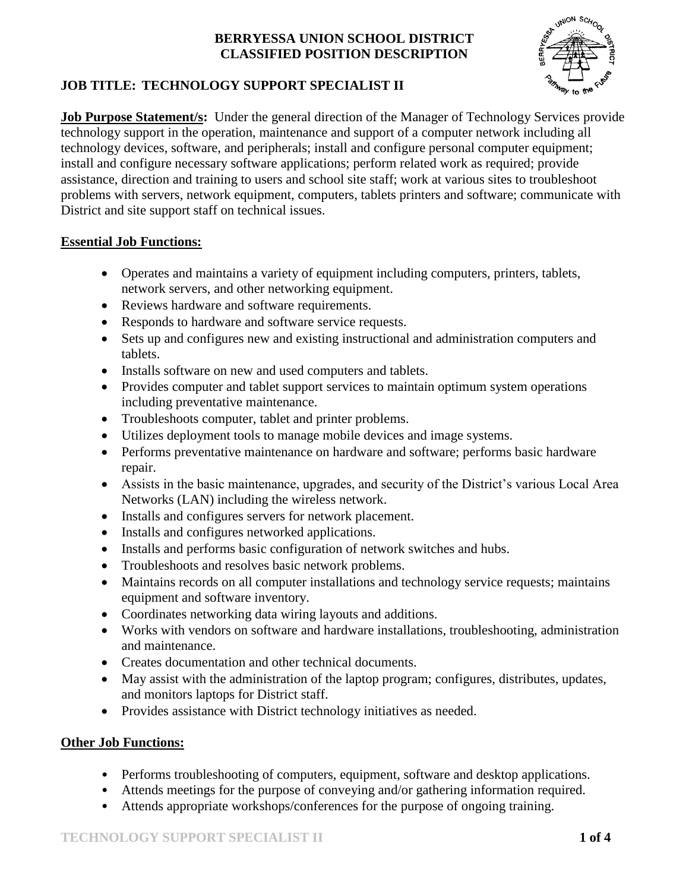

# **JOB TITLE: TECHNOLOGY SUPPORT SPECIALIST II**

**Job Purpose Statement/s:** Under the general direction of the Manager of Technology Services provide technology support in the operation, maintenance and support of a computer network including all technology devices, software, and peripherals; install and configure personal computer equipment; install and configure necessary software applications; perform related work as required; provide assistance, direction and training to users and school site staff; work at various sites to troubleshoot problems with servers, network equipment, computers, tablets printers and software; communicate with District and site support staff on technical issues.

## **Essential Job Functions:**

- Operates and maintains a variety of equipment including computers, printers, tablets, network servers, and other networking equipment.
- Reviews hardware and software requirements.
- Responds to hardware and software service requests.
- Sets up and configures new and existing instructional and administration computers and tablets.
- Installs software on new and used computers and tablets.
- Provides computer and tablet support services to maintain optimum system operations including preventative maintenance.
- Troubleshoots computer, tablet and printer problems.
- Utilizes deployment tools to manage mobile devices and image systems.
- Performs preventative maintenance on hardware and software; performs basic hardware repair.
- Assists in the basic maintenance, upgrades, and security of the District's various Local Area Networks (LAN) including the wireless network.
- Installs and configures servers for network placement.
- Installs and configures networked applications.
- Installs and performs basic configuration of network switches and hubs.
- Troubleshoots and resolves basic network problems.
- Maintains records on all computer installations and technology service requests; maintains equipment and software inventory.
- Coordinates networking data wiring layouts and additions.
- Works with vendors on software and hardware installations, troubleshooting, administration and maintenance.
- Creates documentation and other technical documents.
- May assist with the administration of the laptop program; configures, distributes, updates, and monitors laptops for District staff.
- Provides assistance with District technology initiatives as needed.

## **Other Job Functions:**

- Performs troubleshooting of computers, equipment, software and desktop applications.
- Attends meetings for the purpose of conveying and/or gathering information required.
- Attends appropriate workshops/conferences for the purpose of ongoing training.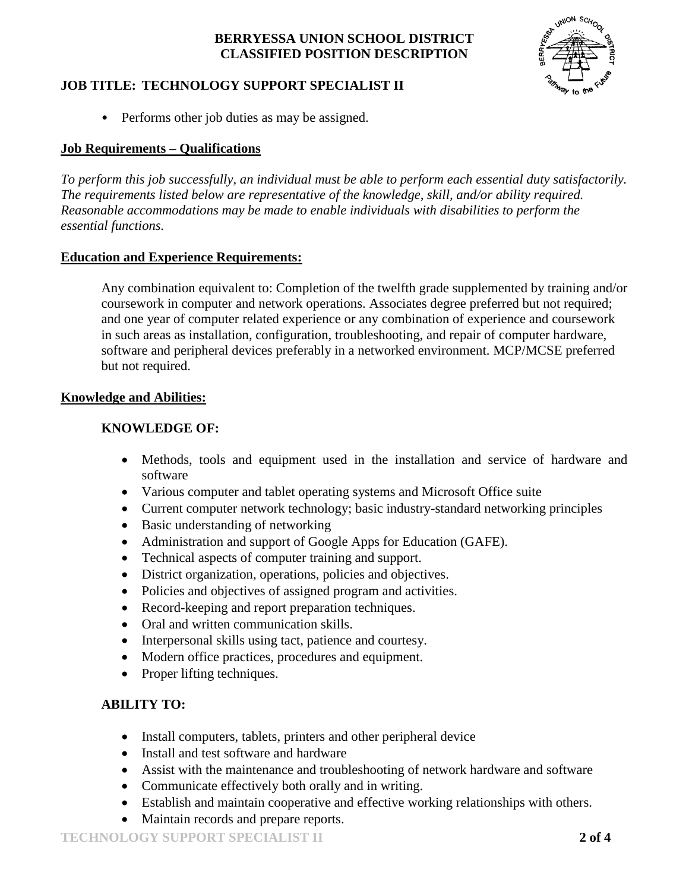

## **JOB TITLE: TECHNOLOGY SUPPORT SPECIALIST II**

• Performs other job duties as may be assigned.

#### **Job Requirements – Qualifications**

*To perform this job successfully, an individual must be able to perform each essential duty satisfactorily. The requirements listed below are representative of the knowledge, skill, and/or ability required. Reasonable accommodations may be made to enable individuals with disabilities to perform the essential functions.*

#### **Education and Experience Requirements:**

Any combination equivalent to: Completion of the twelfth grade supplemented by training and/or coursework in computer and network operations. Associates degree preferred but not required; and one year of computer related experience or any combination of experience and coursework in such areas as installation, configuration, troubleshooting, and repair of computer hardware, software and peripheral devices preferably in a networked environment. MCP/MCSE preferred but not required.

#### **Knowledge and Abilities:**

#### **KNOWLEDGE OF:**

- Methods, tools and equipment used in the installation and service of hardware and software
- Various computer and tablet operating systems and Microsoft Office suite
- Current computer network technology; basic industry-standard networking principles
- Basic understanding of networking
- Administration and support of Google Apps for Education (GAFE).
- Technical aspects of computer training and support.
- District organization, operations, policies and objectives.
- Policies and objectives of assigned program and activities.
- Record-keeping and report preparation techniques.
- Oral and written communication skills.
- Interpersonal skills using tact, patience and courtesy.
- Modern office practices, procedures and equipment.
- Proper lifting techniques.

#### **ABILITY TO:**

- Install computers, tablets, printers and other peripheral device
- Install and test software and hardware
- Assist with the maintenance and troubleshooting of network hardware and software
- Communicate effectively both orally and in writing.
- Establish and maintain cooperative and effective working relationships with others.
- Maintain records and prepare reports.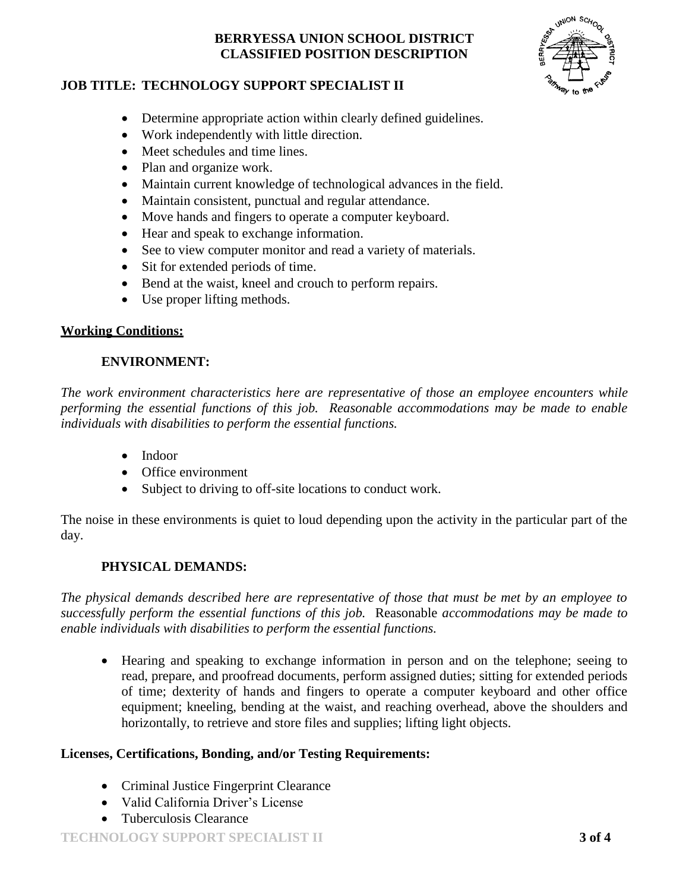

## **JOB TITLE: TECHNOLOGY SUPPORT SPECIALIST II**

- Determine appropriate action within clearly defined guidelines.
- Work independently with little direction.
- Meet schedules and time lines.
- Plan and organize work.
- Maintain current knowledge of technological advances in the field.
- Maintain consistent, punctual and regular attendance.
- Move hands and fingers to operate a computer keyboard.
- Hear and speak to exchange information.
- See to view computer monitor and read a variety of materials.
- Sit for extended periods of time.
- Bend at the waist, kneel and crouch to perform repairs.
- Use proper lifting methods.

#### **Working Conditions:**

## **ENVIRONMENT:**

*The work environment characteristics here are representative of those an employee encounters while performing the essential functions of this job. Reasonable accommodations may be made to enable individuals with disabilities to perform the essential functions.*

- Indoor
- Office environment
- Subject to driving to off-site locations to conduct work.

The noise in these environments is quiet to loud depending upon the activity in the particular part of the day.

## **PHYSICAL DEMANDS:**

*The physical demands described here are representative of those that must be met by an employee to successfully perform the essential functions of this job.* Reasonable *accommodations may be made to enable individuals with disabilities to perform the essential functions.*

 Hearing and speaking to exchange information in person and on the telephone; seeing to read, prepare, and proofread documents, perform assigned duties; sitting for extended periods of time; dexterity of hands and fingers to operate a computer keyboard and other office equipment; kneeling, bending at the waist, and reaching overhead, above the shoulders and horizontally, to retrieve and store files and supplies; lifting light objects.

#### **Licenses, Certifications, Bonding, and/or Testing Requirements:**

- Criminal Justice Fingerprint Clearance
- Valid California Driver's License
- Tuberculosis Clearance